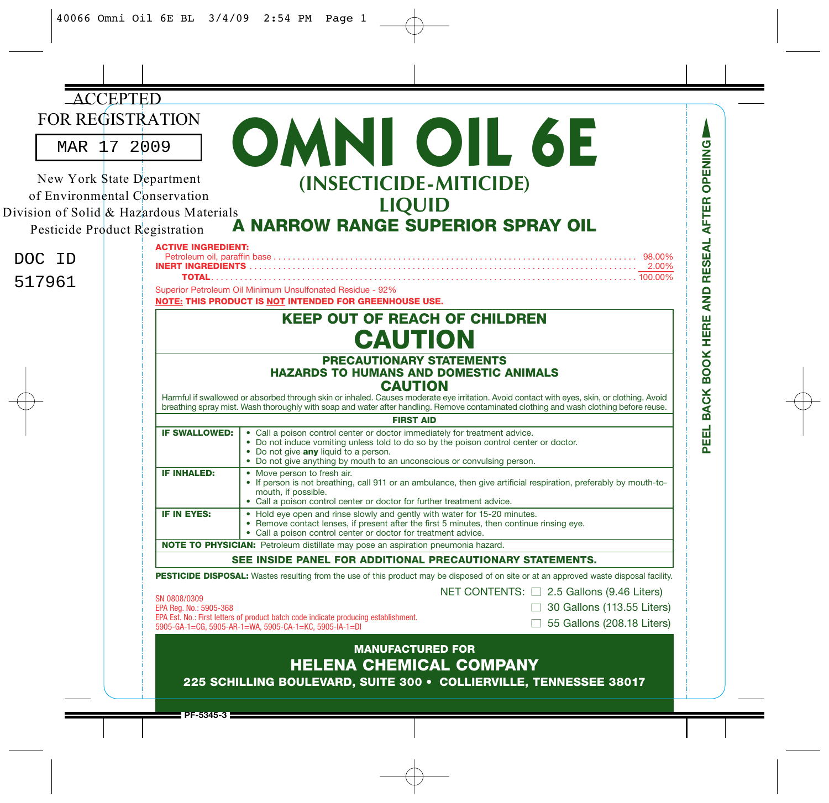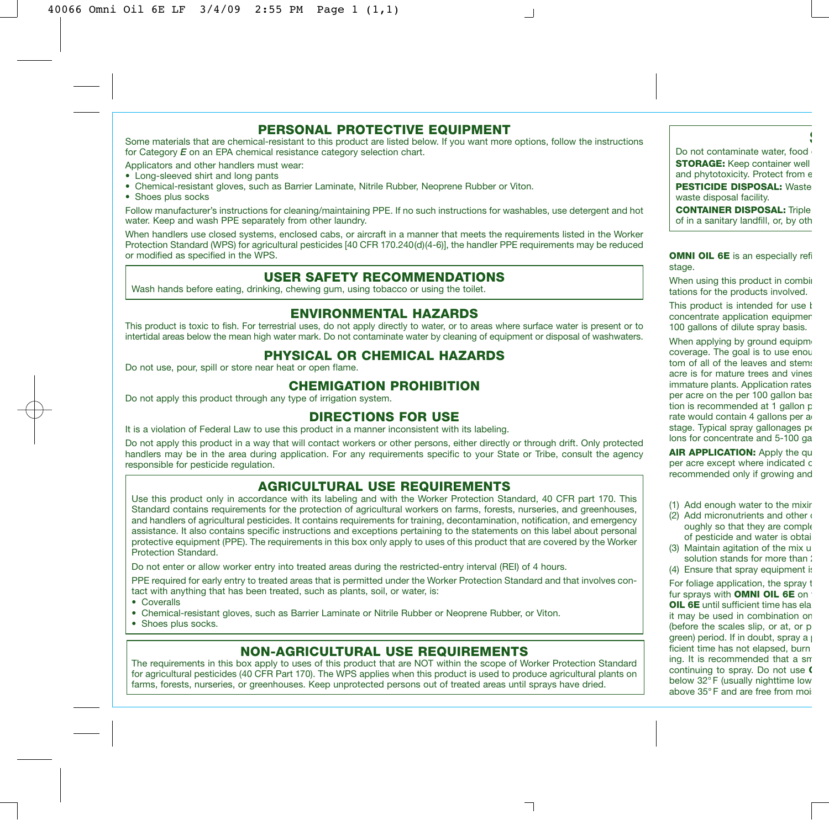## **PERSONAL PROTECTIVE EQUIPMENT**

Some materials that are chemical-resistant to this product are listed below. If you want more options, follow the instructions for Category *E* on an EPA chemical resistance category selection chart.

Applicators and other handlers must wear:

- Long-sleeved shirt and long pants
- Chemical-resistant gloves, such as Barrier Laminate, Nitrile Rubber, Neoprene Rubber or Viton.
- Shoes plus socks

Follow manufacturer's instructions for cleaning/maintaining PPE. If no such instructions for washables, use detergent and hot water. Keep and wash PPE separately from other laundry.

When handlers use closed systems, enclosed cabs, or aircraft in a manner that meets the requirements listed in the Worker Protection Standard (WPS) for agricultural pesticides [40 CFR 170.240(d)(4-6)], the handler PPE requirements may be reduced or modified as specified in the WPS.

## **USER SAFETY RECOMMENDATIONS**

Wash hands before eating, drinking, chewing gum, using tobacco or using the toilet.

## **ENVIRONMENTAL HAZARDS**

This product is toxic to fish. For terrestrial uses, do not apply directly to water, or to areas where surface water is present or to intertidal areas below the mean high water mark. Do not contaminate water by cleaning of equipment or disposal of washwaters.

## **PHYSICAL OR CHEMICAL HAZARDS**

Do not use, pour, spill or store near heat or open flame.

## **CHEMIGATION PROHIBITION**

Do not apply this product through any type of irrigation system.

## **DIRECTIONS FOR USE**

It is a violation of Federal Law to use this product in a manner inconsistent with its labeling.

Do not apply this product in a way that will contact workers or other persons, either directly or through drift. Only protected handlers may be in the area during application. For any requirements specific to your State or Tribe, consult the agency responsible for pesticide regulation.

### **AGRICULTURAL USE REQUIREMENTS**

Use this product only in accordance with its labeling and with the Worker Protection Standard, 40 CFR part 170. This Standard contains requirements for the protection of agricultural workers on farms, forests, nurseries, and greenhouses, and handlers of agricultural pesticides. It contains requirements for training, decontamination, notification, and emergency assistance. It also contains specific instructions and exceptions pertaining to the statements on this label about personal protective equipment (PPE). The requirements in this box only apply to uses of this product that are covered by the Worker Protection Standard.

Do not enter or allow worker entry into treated areas during the restricted-entry interval (REI) of 4 hours.

PPE required for early entry to treated areas that is permitted under the Worker Protection Standard and that involves contact with anything that has been treated, such as plants, soil, or water, is:

• Coveralls

- Chemical-resistant gloves, such as Barrier Laminate or Nitrile Rubber or Neoprene Rubber, or Viton.
- Shoes plus socks.

# **NON-AGRICULTURAL USE REQUIREMENTS**

The requirements in this box apply to uses of this product that are NOT within the scope of Worker Protection Standard for agricultural pesticides (40 CFR Part 170). The WPS applies when this product is used to produce agricultural plants on farms, forests, nurseries, or greenhouses. Keep unprotected persons out of treated areas until sprays have dried.

٦

Do not contaminate water, food **STORAGE:** Keep container well and phytotoxicity. Protect from e **PESTICIDE DISPOSAL:** Waste waste disposal facility.

**S**

**CONTAINER DISPOSAL:** Triple of in a sanitary landfill, or, by oth

**OMNI OIL 6E** is an especially refi stage.

When using this product in combin tations for the products involved.

This product is intended for use  $$ concentrate application equipmen 100 gallons of dilute spray basis.

When applying by ground equipme coverage. The goal is to use enou tom of all of the leaves and stems acre is for mature trees and vines immature plants. Application rates per acre on the per 100 gallon bas tion is recommended at 1 gallon p rate would contain 4 gallons per a stage. Typical spray gallonages pe lons for concentrate and 5-100 ga

**AIR APPLICATION:** Apply the qu per acre except where indicated c recommended only if growing and

- (1) Add enough water to the mixin
- (2) Add micronutrients and other  $\epsilon$ oughly so that they are comple of pesticide and water is obtai
- (3) Maintain agitation of the mix u solution stands for more than :
- (4) Ensure that spray equipment is

For foliage application, the spray t fur sprays with **OMNI OIL 6E** on **OIL 6E** until sufficient time has ela it may be used in combination on (before the scales slip, or at, or p green) period. If in doubt, spray  $a \mid$ ficient time has not elapsed, burn ing. It is recommended that a sm continuing to spray. Do not use **C** below 32° F (usually nighttime low above 35°F and are free from moi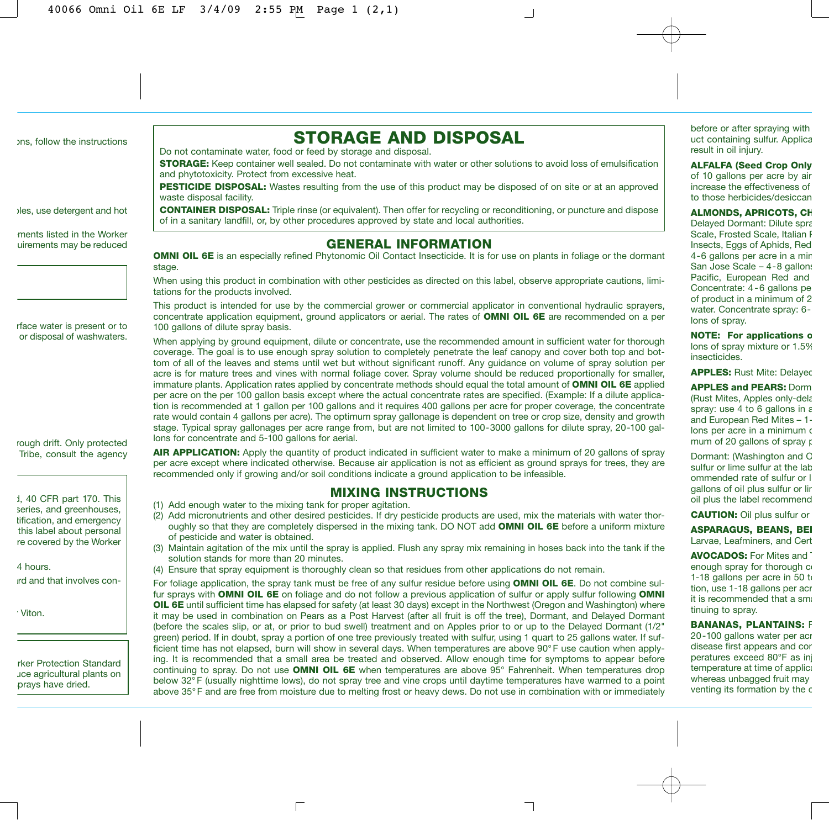ons, follow the instructions

bles, use detergent and hot ments listed in the Worker uirements may be reduced

rface water is present or to or disposal of washwaters.

rough drift. Only protected Tribe, consult the agency

d, 40 CFR part 170. This series, and greenhouses, tification, and emergency this label about personal re covered by the Worker

ard and that involves con-

4 hours.

Viton.

**STORAGE AND DISPOSAL**

Do not contaminate water, food or feed by storage and disposal.

**STORAGE:** Keep container well sealed. Do not contaminate with water or other solutions to avoid loss of emulsification and phytotoxicity. Protect from excessive heat.

**PESTICIDE DISPOSAL:** Wastes resulting from the use of this product may be disposed of on site or at an approved waste disposal facility.

**CONTAINER DISPOSAL:** Triple rinse (or equivalent). Then offer for recycling or reconditioning, or puncture and dispose of in a sanitary landfill, or, by other procedures approved by state and local authorities.

# **GENERAL INFORMATION**

**OMNI OIL 6E** is an especially refined Phytonomic Oil Contact Insecticide. It is for use on plants in foliage or the dormant stage.

When using this product in combination with other pesticides as directed on this label, observe appropriate cautions, limitations for the products involved.

This product is intended for use by the commercial grower or commercial applicator in conventional hydraulic sprayers, concentrate application equipment, ground applicators or aerial. The rates of **OMNI OIL 6E** are recommended on a per 100 gallons of dilute spray basis.

When applying by ground equipment, dilute or concentrate, use the recommended amount in sufficient water for thorough coverage. The goal is to use enough spray solution to completely penetrate the leaf canopy and cover both top and bottom of all of the leaves and stems until wet but without significant runoff. Any guidance on volume of spray solution per acre is for mature trees and vines with normal foliage cover. Spray volume should be reduced proportionally for smaller, immature plants. Application rates applied by concentrate methods should equal the total amount of **OMNI OIL 6E** applied per acre on the per 100 gallon basis except where the actual concentrate rates are specified. (Example: If a dilute application is recommended at 1 gallon per 100 gallons and it requires 400 gallons per acre for proper coverage, the concentrate rate would contain 4 gallons per acre). The optimum spray gallonage is dependent on tree or crop size, density and growth stage. Typical spray gallonages per acre range from, but are not limited to 100-3000 gallons for dilute spray, 20-100 gallons for concentrate and 5-100 gallons for aerial.

**AIR APPLICATION:** Apply the quantity of product indicated in sufficient water to make a minimum of 20 gallons of spray per acre except where indicated otherwise. Because air application is not as efficient as ground sprays for trees, they are recommended only if growing and/or soil conditions indicate a ground application to be infeasible.

# **MIXING INSTRUCTIONS**

- (1) Add enough water to the mixing tank for proper agitation.
- (2) Add micronutrients and other desired pesticides. If dry pesticide products are used, mix the materials with water thoroughly so that they are completely dispersed in the mixing tank. DO NOT add **OMNI OIL 6E** before a uniform mixture of pesticide and water is obtained.
- (3) Maintain agitation of the mix until the spray is applied. Flush any spray mix remaining in hoses back into the tank if the solution stands for more than 20 minutes.
- (4) Ensure that spray equipment is thoroughly clean so that residues from other applications do not remain.

For foliage application, the spray tank must be free of any sulfur residue before using **OMNI OIL 6E**. Do not combine sulfur sprays with **OMNI OIL 6E** on foliage and do not follow a previous application of sulfur or apply sulfur following **OMNI OIL 6E** until sufficient time has elapsed for safety (at least 30 days) except in the Northwest (Oregon and Washington) where it may be used in combination on Pears as a Post Harvest (after all fruit is off the tree), Dormant, and Delayed Dormant (before the scales slip, or at, or prior to bud swell) treatment and on Apples prior to or up to the Delayed Dormant (1/2" green) period. If in doubt, spray a portion of one tree previously treated with sulfur, using 1 quart to 25 gallons water. If sufficient time has not elapsed, burn will show in several days. When temperatures are above 90° F use caution when applying. It is recommended that a small area be treated and observed. Allow enough time for symptoms to appear before continuing to spray. Do not use **OMNI OIL 6E** when temperatures are above 95° Fahrenheit. When temperatures drop below 32° F (usually nighttime lows), do not spray tree and vine crops until daytime temperatures have warmed to a point above 35° F and are free from moisture due to melting frost or heavy dews. Do not use in combination with or immediately

before or after spraying with uct containing sulfur. Applica result in oil injury.

#### **ALFALFA (Seed Crop Only**

of 10 gallons per acre by air increase the effectiveness of to those herbicides/desiccan

#### **ALMONDS, APRICOTS, CH**

Delayed Dormant: Dilute spra Scale, Frosted Scale, Italian F Insects, Eggs of Aphids, Red 4-6 gallons per acre in a min San Jose Scale - 4-8 gallons Pacific, European Red and Concentrate: 4 - 6 gallons pe of product in a minimum of 2 water. Concentrate spray: 6 lons of spray.

**NOTE: For applications o** lons of spray mixture or 1.5% insecticides.

**APPLES: Rust Mite: Delayed** 

**APPLES and PEARS:** Dorm

(Rust Mites, Apples only-dela spray: use  $4$  to  $6$  gallons in  $\varepsilon$ and European Red Mites – 1 lons per acre in a minimum o mum of 20 gallons of spray  $\mathfrak k$ 

Dormant: (Washington and O sulfur or lime sulfur at the lab ommended rate of sulfur or l gallons of oil plus sulfur or lir oil plus the label recommend

## **CAUTION:** Oil plus sulfur or

**ASPARAGUS, BEANS, BEI** Larvae, Leafminers, and Cert

**AVOCADOS:** For Mites and T enough spray for thorough co 1-18 gallons per acre in 50 to tion, use 1-18 gallons per acr it is recommended that a small tinuing to spray.

#### **BANANAS, PLANTAINS:** F

20-100 gallons water per acr disease first appears and con peratures exceed 80°F as inj temperature at time of applica whereas unbagged fruit may venting its formation by the c

rker Protection Standard uce agricultural plants on prays have dried.

 $\Box$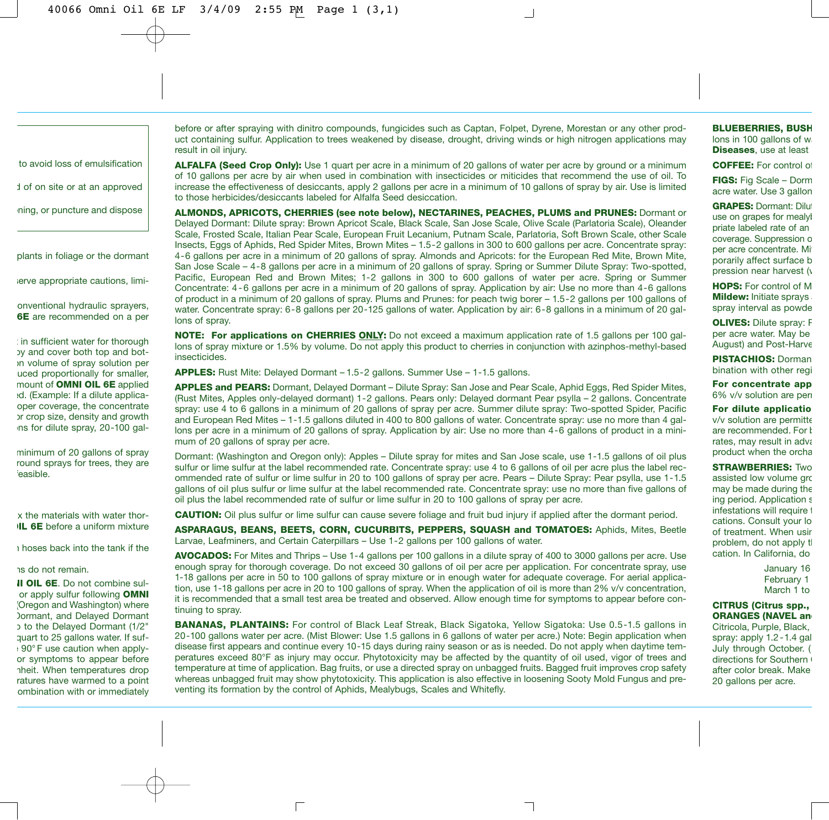to avoid loss of emulsification

d of on site or at an approved

ning, or puncture and dispose

plants in foliage or the dormant

serve appropriate cautions, limi-

onventional hydraulic sprayers, **6E** are recommended on a per

: in sufficient water for thorough py and cover both top and boton volume of spray solution per uced proportionally for smaller, mount of **OMNI OIL 6E** applied ed. (Example: If a dilute applicaoper coverage, the concentrate or crop size, density and growth ns for dilute spray, 20-100 gal-

minimum of 20 gallons of spray round sprays for trees, they are feasible.

x the materials with water thor-**IL 6E** before a uniform mixture

n hoses back into the tank if the

#### ns do not remain.

**II OIL 6E.** Do not combine sulor apply sulfur following **OMNI** (Oregon and Washington) where Dormant, and Delayed Dormant p to the Delayed Dormant (1/2" quart to 25 gallons water. If sufe 90° F use caution when applyor symptoms to appear before nheit. When temperatures drop ratures have warmed to a point combination with or immediately

before or after spraying with dinitro compounds, fungicides such as Captan, Folpet, Dyrene, Morestan or any other product containing sulfur. Application to trees weakened by disease, drought, driving winds or high nitrogen applications may result in oil injury.

**ALFALFA (Seed Crop Only):** Use 1 quart per acre in a minimum of 20 gallons of water per acre by ground or a minimum of 10 gallons per acre by air when used in combination with insecticides or miticides that recommend the use of oil. To increase the effectiveness of desiccants, apply 2 gallons per acre in a minimum of 10 gallons of spray by air. Use is limited to those herbicides/desiccants labeled for Alfalfa Seed desiccation.

**ALMONDS, APRICOTS, CHERRIES (see note below), NECTARINES, PEACHES, PLUMS and PRUNES:** Dormant or Delayed Dormant: Dilute spray: Brown Apricot Scale, Black Scale, San Jose Scale, Olive Scale (Parlatoria Scale), Oleander Scale, Frosted Scale, Italian Pear Scale, European Fruit Lecanium, Putnam Scale, Parlatoria, Soft Brown Scale, other Scale Insects, Eggs of Aphids, Red Spider Mites, Brown Mites – 1.5-2 gallons in 300 to 600 gallons per acre. Concentrate spray: 4-6 gallons per acre in a minimum of 20 gallons of spray. Almonds and Apricots: for the European Red Mite, Brown Mite, San Jose Scale – 4-8 gallons per acre in a minimum of 20 gallons of spray. Spring or Summer Dilute Spray: Two-spotted, Pacific, European Red and Brown Mites; 1-2 gallons in 300 to 600 gallons of water per acre. Spring or Summer Concentrate: 4 - 6 gallons per acre in a minimum of 20 gallons of spray. Application by air: Use no more than 4-6 gallons of product in a minimum of 20 gallons of spray. Plums and Prunes: for peach twig borer – 1.5-2 gallons per 100 gallons of water. Concentrate spray: 6-8 gallons per 20-125 gallons of water. Application by air: 6-8 gallons in a minimum of 20 gallons of spray.

**NOTE: For applications on CHERRIES ONLY:** Do not exceed a maximum application rate of 1.5 gallons per 100 gallons of spray mixture or 1.5% by volume. Do not apply this product to cherries in conjunction with azinphos-methyl-based insecticides.

**APPLES:** Rust Mite: Delayed Dormant – 1.5-2 gallons. Summer Use – 1-1.5 gallons.

 $\Box$ 

**APPLES and PEARS:** Dormant, Delayed Dormant – Dilute Spray: San Jose and Pear Scale, Aphid Eggs, Red Spider Mites, (Rust Mites, Apples only-delayed dormant) 1-2 gallons. Pears only: Delayed dormant Pear psylla – 2 gallons. Concentrate spray: use 4 to 6 gallons in a minimum of 20 gallons of spray per acre. Summer dilute spray: Two-spotted Spider, Pacific and European Red Mites – 1-1.5 gallons diluted in 400 to 800 gallons of water. Concentrate spray: use no more than 4 gallons per acre in a minimum of 20 gallons of spray. Application by air: Use no more than 4-6 gallons of product in a minimum of 20 gallons of spray per acre.

Dormant: (Washington and Oregon only): Apples – Dilute spray for mites and San Jose scale, use 1-1.5 gallons of oil plus sulfur or lime sulfur at the label recommended rate. Concentrate spray: use 4 to 6 gallons of oil per acre plus the label recommended rate of sulfur or lime sulfur in 20 to 100 gallons of spray per acre. Pears – Dilute Spray: Pear psylla, use 1-1.5 gallons of oil plus sulfur or lime sulfur at the label recommended rate. Concentrate spray: use no more than five gallons of oil plus the label recommended rate of sulfur or lime sulfur in 20 to 100 gallons of spray per acre.

**CAUTION:** Oil plus sulfur or lime sulfur can cause severe foliage and fruit bud injury if applied after the dormant period.

**ASPARAGUS, BEANS, BEETS, CORN, CUCURBITS, PEPPERS, SQUASH and TOMATOES:** Aphids, Mites, Beetle Larvae, Leafminers, and Certain Caterpillars – Use 1-2 gallons per 100 gallons of water.

**AVOCADOS:** For Mites and Thrips – Use 1-4 gallons per 100 gallons in a dilute spray of 400 to 3000 gallons per acre. Use enough spray for thorough coverage. Do not exceed 30 gallons of oil per acre per application. For concentrate spray, use 1-18 gallons per acre in 50 to 100 gallons of spray mixture or in enough water for adequate coverage. For aerial application, use 1-18 gallons per acre in 20 to 100 gallons of spray. When the application of oil is more than 2% v/v concentration, it is recommended that a small test area be treated and observed. Allow enough time for symptoms to appear before continuing to spray.

**BANANAS, PLANTAINS:** For control of Black Leaf Streak, Black Sigatoka, Yellow Sigatoka: Use 0.5-1.5 gallons in 20-100 gallons water per acre. (Mist Blower: Use 1.5 gallons in 6 gallons of water per acre.) Note: Begin application when disease first appears and continue every 10-15 days during rainy season or as is needed. Do not apply when daytime temperatures exceed 80°F as injury may occur. Phytotoxicity may be affected by the quantity of oil used, vigor of trees and temperature at time of application. Bag fruits, or use a directed spray on unbagged fruits. Bagged fruit improves crop safety whereas unbagged fruit may show phytotoxicity. This application is also effective in loosening Sooty Mold Fungus and preventing its formation by the control of Aphids, Mealybugs, Scales and Whitefly.

#### **BLUEBERRIES, BUSH** lons in 100 gallons of wa

**Diseases**, use at least

**COFFEE:** For control of

**FIGS:** Fig Scale – Dorm acre water. Use 3 gallon

**GRAPES: Dormant: Dilut** use on grapes for mealyl priate labeled rate of an coverage. Suppression o per acre concentrate. Mit porarily affect surface b pression near harvest  $(y)$ 

**HOPS:** For control of M **Mildew:** Initiate sprays spray interval as powde

**OLIVES: Dilute spray: F** per acre water. May be August) and Post-Harve

**PISTACHIOS:** Dorman bination with other regi

**For concentrate app** 6% v/v solution are peri

**For dilute applicatio** v/v solution are permitte are recommended. For  $$ rates, may result in adva product when the orcha

**STRAWBERRIES:** Two assisted low volume gro may be made during the ing period. Application s infestations will require t cations. Consult your lo of treatment. When usin problem, do not apply th cation. In California, do

> January 16 February 1 March 1 to

**CITRUS (Citrus spp., ORANGES (NAVEL and** Citricola, Purple, Black, spray: apply 1.2 -1.4 gal July through October. ( directions for Southern ( after color break. Make 20 gallons per acre.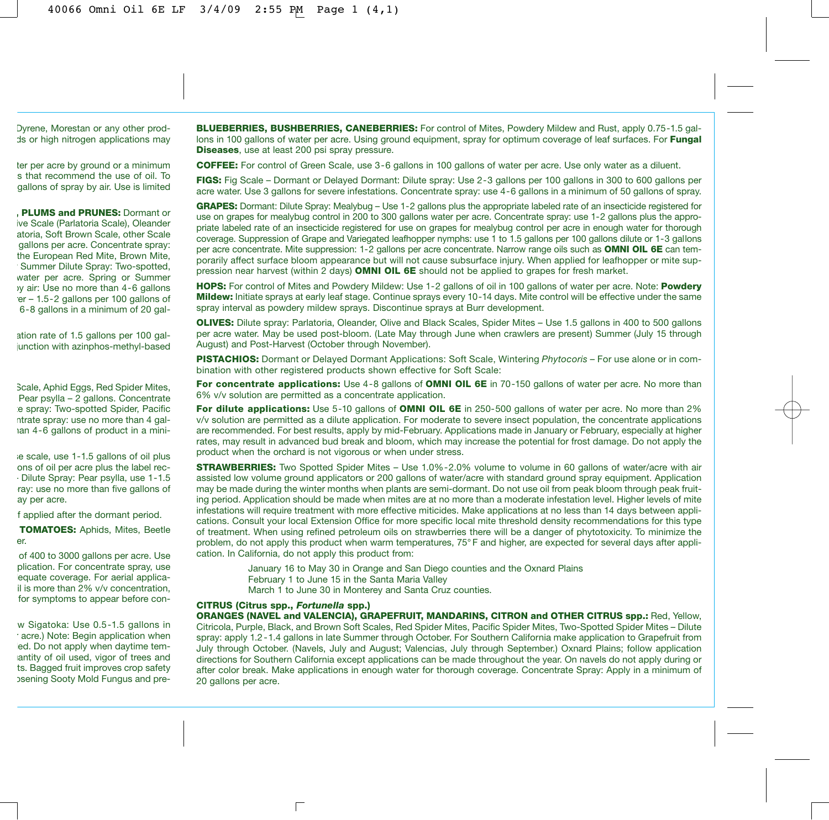Dyrene, Morestan or any other prodds or high nitrogen applications may

ter per acre by ground or a minimum s that recommend the use of oil. To gallons of spray by air. Use is limited

**, PLUMS and PRUNES:** Dormant or ive Scale (Parlatoria Scale), Oleander atoria, Soft Brown Scale, other Scale gallons per acre. Concentrate spray: the European Red Mite, Brown Mite, Summer Dilute Spray: Two-spotted, water per acre. Spring or Summer by air: Use no more than 4-6 gallons rer – 1.5-2 gallons per 100 gallons of 6-8 gallons in a minimum of 20 gal-

ation rate of 1.5 gallons per 100 galjunction with azinphos-methyl-based

Scale, Aphid Eggs, Red Spider Mites, Pear psylla – 2 gallons. Concentrate e spray: Two-spotted Spider, Pacific ntrate spray: use no more than 4 galhan 4-6 gallons of product in a mini-

se scale, use 1-1.5 gallons of oil plus ons of oil per acre plus the label rec- – Dilute Spray: Pear psylla, use 1-1.5 ray: use no more than five gallons of ay per acre.

f applied after the dormant period.

**TOMATOES:** Aphids, Mites, Beetle er.

of 400 to 3000 gallons per acre. Use plication. For concentrate spray, use equate coverage. For aerial applicail is more than 2% v/v concentration, for symptoms to appear before con-

w Sigatoka: Use 0.5-1.5 gallons in r acre.) Note: Begin application when ed. Do not apply when daytime temantity of oil used, vigor of trees and ts. Bagged fruit improves crop safety osening Sooty Mold Fungus and pre**BLUEBERRIES, BUSHBERRIES, CANEBERRIES:** For control of Mites, Powdery Mildew and Rust, apply 0.75-1.5 gallons in 100 gallons of water per acre. Using ground equipment, spray for optimum coverage of leaf surfaces. For **Fungal Diseases**, use at least 200 psi spray pressure.

**COFFEE:** For control of Green Scale, use 3-6 gallons in 100 gallons of water per acre. Use only water as a diluent.

**FIGS:** Fig Scale – Dormant or Delayed Dormant: Dilute spray: Use 2-3 gallons per 100 gallons in 300 to 600 gallons per acre water. Use 3 gallons for severe infestations. Concentrate spray: use 4-6 gallons in a minimum of 50 gallons of spray.

**GRAPES:** Dormant: Dilute Spray: Mealybug – Use 1-2 gallons plus the appropriate labeled rate of an insecticide registered for use on grapes for mealybug control in 200 to 300 gallons water per acre. Concentrate spray: use 1-2 gallons plus the appropriate labeled rate of an insecticide registered for use on grapes for mealybug control per acre in enough water for thorough coverage. Suppression of Grape and Variegated leafhopper nymphs: use 1 to 1.5 gallons per 100 gallons dilute or 1-3 gallons per acre concentrate. Mite suppression: 1-2 gallons per acre concentrate. Narrow range oils such as **OMNI OIL 6E** can temporarily affect surface bloom appearance but will not cause subsurface injury. When applied for leafhopper or mite suppression near harvest (within 2 days) **OMNI OIL 6E** should not be applied to grapes for fresh market.

**HOPS:** For control of Mites and Powdery Mildew: Use 1-2 gallons of oil in 100 gallons of water per acre. Note: **Powdery Mildew:** Initiate sprays at early leaf stage. Continue sprays every 10-14 days. Mite control will be effective under the same spray interval as powdery mildew sprays. Discontinue sprays at Burr development.

**OLIVES:** Dilute spray: Parlatoria, Oleander, Olive and Black Scales, Spider Mites – Use 1.5 gallons in 400 to 500 gallons per acre water. May be used post-bloom. (Late May through June when crawlers are present) Summer (July 15 through August) and Post-Harvest (October through November).

**PISTACHIOS:** Dormant or Delayed Dormant Applications: Soft Scale, Wintering *Phytocoris* – For use alone or in combination with other registered products shown effective for Soft Scale:

**For concentrate applications:** Use 4-8 gallons of **OMNI OIL 6E** in 70-150 gallons of water per acre. No more than 6% v/v solution are permitted as a concentrate application.

**For dilute applications:** Use 5-10 gallons of **OMNI OIL 6E** in 250-500 gallons of water per acre. No more than 2% v/v solution are permitted as a dilute application. For moderate to severe insect population, the concentrate applications are recommended. For best results, apply by mid-February. Applications made in January or February, especially at higher rates, may result in advanced bud break and bloom, which may increase the potential for frost damage. Do not apply the product when the orchard is not vigorous or when under stress.

**STRAWBERRIES:** Two Spotted Spider Mites – Use 1.0%-2.0% volume to volume in 60 gallons of water/acre with air assisted low volume ground applicators or 200 gallons of water/acre with standard ground spray equipment. Application may be made during the winter months when plants are semi-dormant. Do not use oil from peak bloom through peak fruiting period. Application should be made when mites are at no more than a moderate infestation level. Higher levels of mite infestations will require treatment with more effective miticides. Make applications at no less than 14 days between applications. Consult your local Extension Office for more specific local mite threshold density recommendations for this type of treatment. When using refined petroleum oils on strawberries there will be a danger of phytotoxicity. To minimize the problem, do not apply this product when warm temperatures, 75° F and higher, are expected for several days after application. In California, do not apply this product from:

January 16 to May 30 in Orange and San Diego counties and the Oxnard Plains February 1 to June 15 in the Santa Maria Valley March 1 to June 30 in Monterey and Santa Cruz counties.

#### **CITRUS (Citrus spp.,** *Fortunella* **spp.)**

 $\Box$ 

**ORANGES (NAVEL and VALENCIA), GRAPEFRUIT, MANDARINS, CITRON and OTHER CITRUS spp.:** Red, Yellow, Citricola, Purple, Black, and Brown Soft Scales, Red Spider Mites, Pacific Spider Mites, Two-Spotted Spider Mites – Dilute spray: apply 1.2 -1.4 gallons in late Summer through October. For Southern California make application to Grapefruit from July through October. (Navels, July and August; Valencias, July through September.) Oxnard Plains; follow application directions for Southern California except applications can be made throughout the year. On navels do not apply during or after color break. Make applications in enough water for thorough coverage. Concentrate Spray: Apply in a minimum of 20 gallons per acre.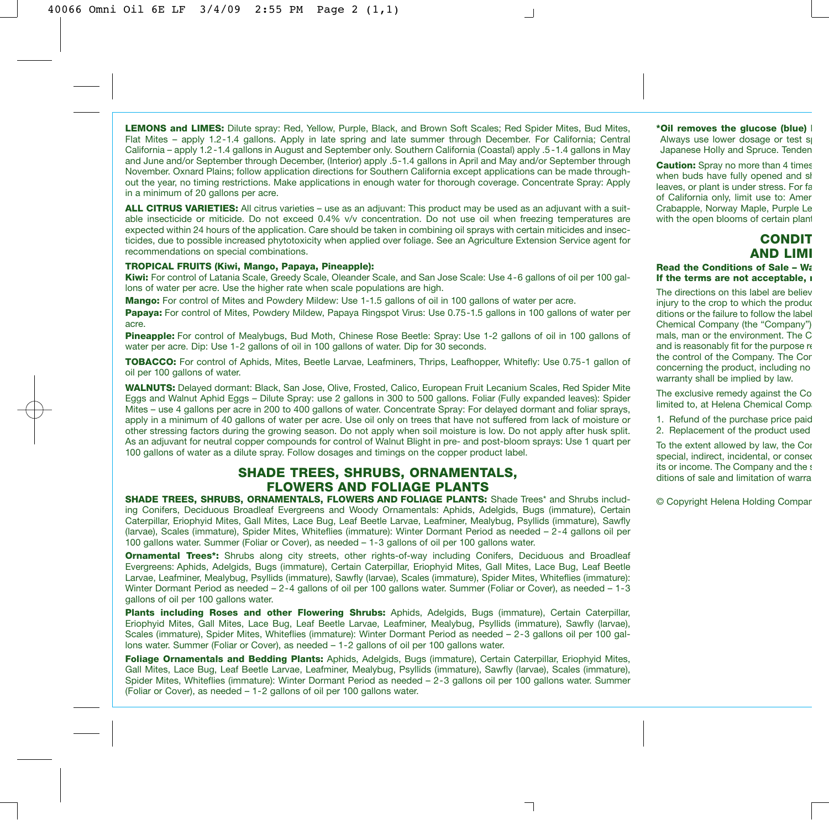**LEMONS and LIMES:** Dilute spray: Red, Yellow, Purple, Black, and Brown Soft Scales; Red Spider Mites, Bud Mites, Flat Mites – apply 1.2-1.4 gallons. Apply in late spring and late summer through December. For California; Central California – apply 1.2 -1.4 gallons in August and September only. Southern California (Coastal) apply .5 -1.4 gallons in May and June and/or September through December, (Interior) apply .5-1.4 gallons in April and May and/or September through November. Oxnard Plains; follow application directions for Southern California except applications can be made throughout the year, no timing restrictions. Make applications in enough water for thorough coverage. Concentrate Spray: Apply in a minimum of 20 gallons per acre.

**ALL CITRUS VARIETIES:** All citrus varieties – use as an adjuvant: This product may be used as an adjuvant with a suitable insecticide or miticide. Do not exceed 0.4% v/v concentration. Do not use oil when freezing temperatures are expected within 24 hours of the application. Care should be taken in combining oil sprays with certain miticides and insecticides, due to possible increased phytotoxicity when applied over foliage. See an Agriculture Extension Service agent for recommendations on special combinations.

#### **TROPICAL FRUITS (Kiwi, Mango, Papaya, Pineapple):**

**Kiwi:** For control of Latania Scale, Greedy Scale, Oleander Scale, and San Jose Scale: Use 4-6 gallons of oil per 100 gallons of water per acre. Use the higher rate when scale populations are high.

**Mango:** For control of Mites and Powdery Mildew: Use 1-1.5 gallons of oil in 100 gallons of water per acre.

**Papaya:** For control of Mites, Powdery Mildew, Papaya Ringspot Virus: Use 0.75-1.5 gallons in 100 gallons of water per acre.

**Pineapple:** For control of Mealybugs, Bud Moth, Chinese Rose Beetle: Spray: Use 1-2 gallons of oil in 100 gallons of water per acre. Dip: Use 1-2 gallons of oil in 100 gallons of water. Dip for 30 seconds.

**TOBACCO:** For control of Aphids, Mites, Beetle Larvae, Leafminers, Thrips, Leafhopper, Whitefly: Use 0.75-1 gallon of oil per 100 gallons of water.

**WALNUTS:** Delayed dormant: Black, San Jose, Olive, Frosted, Calico, European Fruit Lecanium Scales, Red Spider Mite Eggs and Walnut Aphid Eggs – Dilute Spray: use 2 gallons in 300 to 500 gallons. Foliar (Fully expanded leaves): Spider Mites – use 4 gallons per acre in 200 to 400 gallons of water. Concentrate Spray: For delayed dormant and foliar sprays, apply in a minimum of 40 gallons of water per acre. Use oil only on trees that have not suffered from lack of moisture or other stressing factors during the growing season. Do not apply when soil moisture is low. Do not apply after husk split. As an adjuvant for neutral copper compounds for control of Walnut Blight in pre- and post-bloom sprays: Use 1 quart per 100 gallons of water as a dilute spray. Follow dosages and timings on the copper product label.

# **SHADE TREES, SHRUBS, ORNAMENTALS, FLOWERS AND FOLIAGE PLANTS**

**SHADE TREES, SHRUBS, ORNAMENTALS, FLOWERS AND FOLIAGE PLANTS:** Shade Trees\* and Shrubs including Conifers, Deciduous Broadleaf Evergreens and Woody Ornamentals: Aphids, Adelgids, Bugs (immature), Certain Caterpillar, Eriophyid Mites, Gall Mites, Lace Bug, Leaf Beetle Larvae, Leafminer, Mealybug, Psyllids (immature), Sawfly (larvae), Scales (immature), Spider Mites, Whiteflies (immature): Winter Dormant Period as needed – 2-4 gallons oil per 100 gallons water. Summer (Foliar or Cover), as needed – 1-3 gallons of oil per 100 gallons water.

**Ornamental Trees\*:** Shrubs along city streets, other rights-of-way including Conifers, Deciduous and Broadleaf Evergreens: Aphids, Adelgids, Bugs (immature), Certain Caterpillar, Eriophyid Mites, Gall Mites, Lace Bug, Leaf Beetle Larvae, Leafminer, Mealybug, Psyllids (immature), Sawfly (larvae), Scales (immature), Spider Mites, Whiteflies (immature): Winter Dormant Period as needed – 2-4 gallons of oil per 100 gallons water. Summer (Foliar or Cover), as needed – 1-3 gallons of oil per 100 gallons water.

**Plants including Roses and other Flowering Shrubs:** Aphids, Adelgids, Bugs (immature), Certain Caterpillar, Eriophyid Mites, Gall Mites, Lace Bug, Leaf Beetle Larvae, Leafminer, Mealybug, Psyllids (immature), Sawfly (larvae), Scales (immature), Spider Mites, Whiteflies (immature): Winter Dormant Period as needed – 2-3 gallons oil per 100 gallons water. Summer (Foliar or Cover), as needed – 1-2 gallons of oil per 100 gallons water.

**Foliage Ornamentals and Bedding Plants:** Aphids, Adelgids, Bugs (immature), Certain Caterpillar, Eriophyid Mites, Gall Mites, Lace Bug, Leaf Beetle Larvae, Leafminer, Mealybug, Psyllids (immature), Sawfly (larvae), Scales (immature), Spider Mites, Whiteflies (immature): Winter Dormant Period as needed – 2-3 gallons oil per 100 gallons water. Summer (Foliar or Cover), as needed – 1-2 gallons of oil per 100 gallons water.

**\*Oil removes the glucose (blue) b** Always use lower dosage or test sp Japanese Holly and Spruce. Tenden

**Caution:** Spray no more than 4 times when buds have fully opened and sh leaves, or plant is under stress. For fa of California only, limit use to: Amer Crabapple, Norway Maple, Purple Le with the open blooms of certain plant

# **CONDIT AND LIMI**

#### **Read the Conditions of Sale – Wa If the terms are not acceptable, r**

The directions on this label are believ injury to the crop to which the produc ditions or the failure to follow the label Chemical Company (the "Company") mals, man or the environment. The C and is reasonably fit for the purpose re the control of the Company. The Com concerning the product, including no warranty shall be implied by law.

The exclusive remedy against the Co limited to, at Helena Chemical Compa

1. Refund of the purchase price paid 2. Replacement of the product used

To the extent allowed by law, the Cor special, indirect, incidental, or conseq its or income. The Company and the s ditions of sale and limitation of warra

© Copyright Helena Holding Compan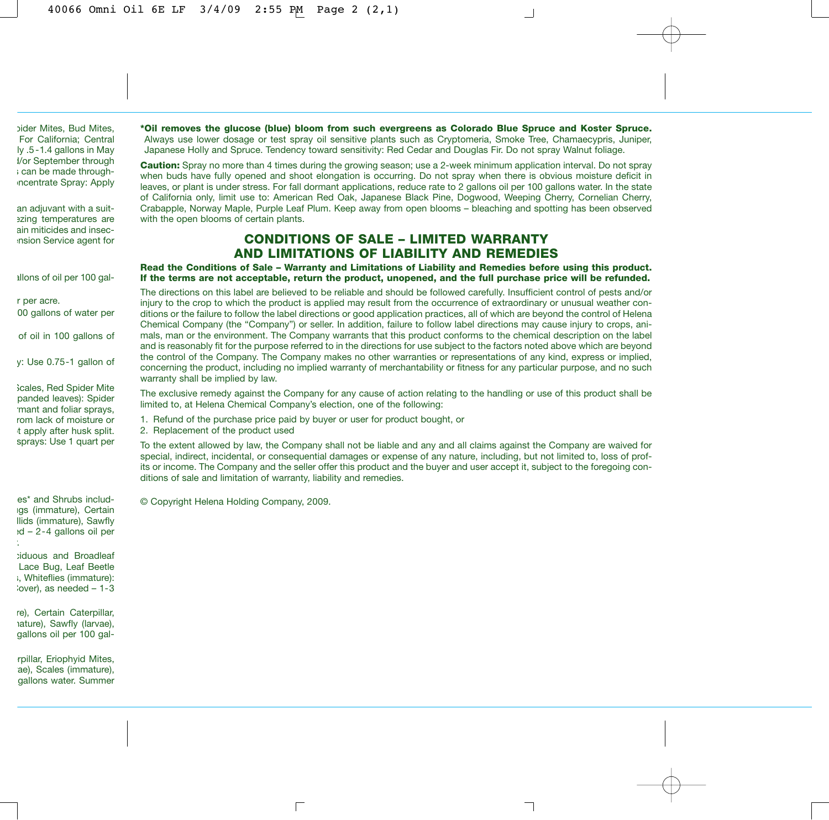pider Mites, Bud Mites, For California; Central ly .5 -1.4 gallons in May d/or September through s can be made throughncentrate Spray: Apply

an adjuvant with a suitezing temperatures are ain miticides and insecension Service agent for

allons of oil per 100 gal-

r per acre. 00 gallons of water per

of oil in 100 gallons of

y: Use 0.75-1 gallon of

Scales, Red Spider Mite panded leaves): Spider rmant and foliar sprays, rom lack of moisture or t apply after husk split. sprays: Use 1 quart per

es\* and Shrubs includugs (immature), Certain llids (immature), Sawfly ed – 2-4 gallons oil per r.

ciduous and Broadleaf Lace Bug, Leaf Beetle s, Whiteflies (immature):  $i$ over), as needed  $-1-3$ 

re), Certain Caterpillar, mature), Sawfly (larvae), gallons oil per 100 gal-

rpillar, Eriophyid Mites, ae), Scales (immature), gallons water. Summer **\*Oil removes the glucose (blue) bloom from such evergreens as Colorado Blue Spruce and Koster Spruce.** Always use lower dosage or test spray oil sensitive plants such as Cryptomeria, Smoke Tree, Chamaecypris, Juniper, Japanese Holly and Spruce. Tendency toward sensitivity: Red Cedar and Douglas Fir. Do not spray Walnut foliage.

**Caution:** Spray no more than 4 times during the growing season; use a 2-week minimum application interval. Do not spray when buds have fully opened and shoot elongation is occurring. Do not spray when there is obvious moisture deficit in leaves, or plant is under stress. For fall dormant applications, reduce rate to 2 gallons oil per 100 gallons water. In the state of California only, limit use to: American Red Oak, Japanese Black Pine, Dogwood, Weeping Cherry, Cornelian Cherry, Crabapple, Norway Maple, Purple Leaf Plum. Keep away from open blooms – bleaching and spotting has been observed with the open blooms of certain plants.

# **CONDITIONS OF SALE – LIMITED WARRANTY AND LIMITATIONS OF LIABILITY AND REMEDIES**

**Read the Conditions of Sale – Warranty and Limitations of Liability and Remedies before using this product. If the terms are not acceptable, return the product, unopened, and the full purchase price will be refunded.**

The directions on this label are believed to be reliable and should be followed carefully. Insufficient control of pests and/or injury to the crop to which the product is applied may result from the occurrence of extraordinary or unusual weather conditions or the failure to follow the label directions or good application practices, all of which are beyond the control of Helena Chemical Company (the "Company") or seller. In addition, failure to follow label directions may cause injury to crops, animals, man or the environment. The Company warrants that this product conforms to the chemical description on the label and is reasonably fit for the purpose referred to in the directions for use subject to the factors noted above which are beyond the control of the Company. The Company makes no other warranties or representations of any kind, express or implied, concerning the product, including no implied warranty of merchantability or fitness for any particular purpose, and no such warranty shall be implied by law.

The exclusive remedy against the Company for any cause of action relating to the handling or use of this product shall be limited to, at Helena Chemical Company's election, one of the following:

1. Refund of the purchase price paid by buyer or user for product bought, or

 $\Box$ 

2. Replacement of the product used

To the extent allowed by law, the Company shall not be liable and any and all claims against the Company are waived for special, indirect, incidental, or consequential damages or expense of any nature, including, but not limited to, loss of profits or income. The Company and the seller offer this product and the buyer and user accept it, subject to the foregoing conditions of sale and limitation of warranty, liability and remedies.

┑

© Copyright Helena Holding Company, 2009.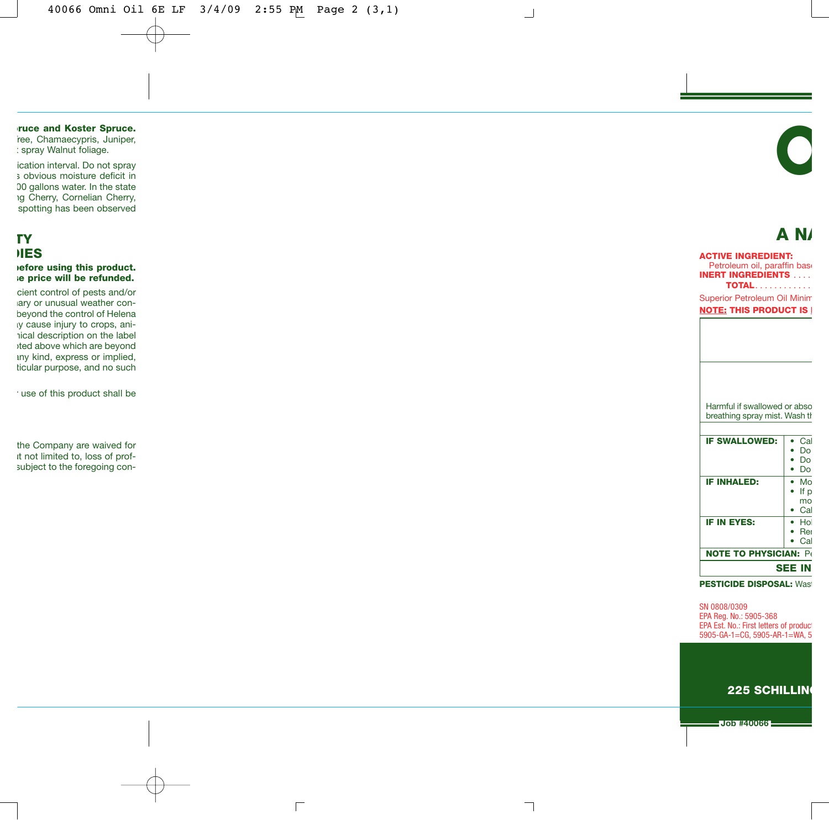$\Box$ 

**pruce and Koster Spruce.** ree, Chamaecypris, Juniper,

: spray Walnut foliage.

ication interval. Do not spray s obvious moisture deficit in 00 gallons water. In the state ng Cherry, Cornelian Cherry, spotting has been observed

# **TY DIES**

**before using this product. se price will be refunded.**

cient control of pests and/or nary or unusual weather conbeyond the control of Helena ay cause injury to crops, animical description on the label oted above which are beyond any kind, express or implied, ticular purpose, and no such

r use of this product shall be

the Company are waived for ut not limited to, loss of profsubject to the foregoing con-

# **A NA**

**O**

## **ACTIVE INGREDIENT:** Petroleum oil, paraffin base **INERT INGREDIENTS** . . . . **TOTAL**. . . . . . . . . . . . Superior Petroleum Oil Minim **NOTE: THIS PRODUCT IS I**

┙

F

Harmful if swallowed or abso breathing spray mist. Wash th

| <b>IF SWALLOWED:</b>         | Cal  |
|------------------------------|------|
|                              | Dο   |
|                              | Do   |
|                              | Do   |
| <b>IF INHALED:</b>           | Mo   |
|                              | If p |
|                              | mo   |
|                              | Cal  |
| <b>IF IN EYES:</b>           | Hol  |
|                              | Rei  |
|                              | Cal  |
| <b>NOTE TO PHYSICIAN: Pe</b> |      |
| <b>SEE IN</b>                |      |

**PESTICIDE DISPOSAL:** Wast

SN 0808/0309 EPA Reg. No.: 5905-368 EPA Est. No.: First letters of product 5905-GA-1=CG, 5905-AR-1=WA, 5

## **225 SCHILLING**

**Job #40066**